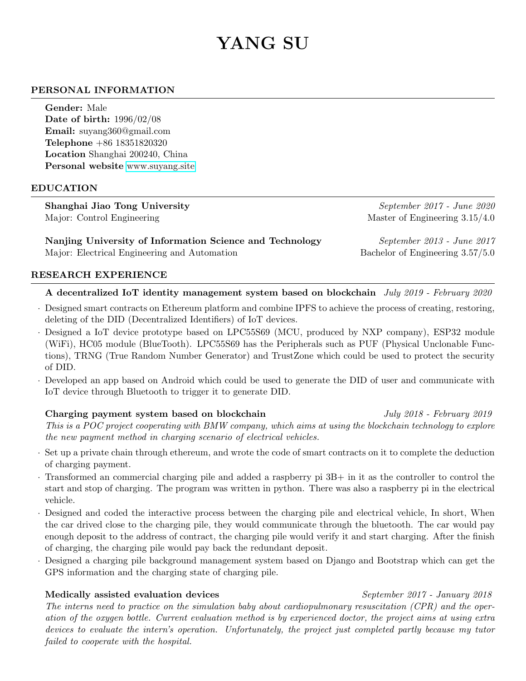# YANG SU

### PERSONAL INFORMATION

Gender: Male Date of birth: 1996/02/08 Email: suyang360@gmail.com Telephone +86 18351820320 Location Shanghai 200240, China Personal website <www.suyang.site>

#### EDUCATION

Shanghai Jiao Tong University September 2017 - June 2020 Major: Control Engineering  $\mu$  Master of Engineering 3.15/4.0

Nanjing University of Information Science and Technology September 2013 - June 2017 Major: Electrical Engineering and Automation Bachelor of Engineering 3.57/5.0

#### RESEARCH EXPERIENCE

#### A decentralized IoT identity management system based on blockchain July 2019 - February 2020

- · Designed smart contracts on Ethereum platform and combine IPFS to achieve the process of creating, restoring, deleting of the DID (Decentralized Identifiers) of IoT devices.
- · Designed a IoT device prototype based on LPC55S69 (MCU, produced by NXP company), ESP32 module (WiFi), HC05 module (BlueTooth). LPC55S69 has the Peripherals such as PUF (Physical Unclonable Functions), TRNG (True Random Number Generator) and TrustZone which could be used to protect the security of DID.
- · Developed an app based on Android which could be used to generate the DID of user and communicate with IoT device through Bluetooth to trigger it to generate DID.

## Charging payment system based on blockchain July 2018 - February 2019 This is a POC project cooperating with BMW company, which aims at using the blockchain technology to explore the new payment method in charging scenario of electrical vehicles.

- · Set up a private chain through ethereum, and wrote the code of smart contracts on it to complete the deduction of charging payment.
- · Transformed an commercial charging pile and added a raspberry pi 3B+ in it as the controller to control the start and stop of charging. The program was written in python. There was also a raspberry pi in the electrical vehicle.
- · Designed and coded the interactive process between the charging pile and electrical vehicle, In short, When the car drived close to the charging pile, they would communicate through the bluetooth. The car would pay enough deposit to the address of contract, the charging pile would verify it and start charging. After the finish of charging, the charging pile would pay back the redundant deposit.
- · Designed a charging pile background management system based on Django and Bootstrap which can get the GPS information and the charging state of charging pile.

#### Medically assisted evaluation devices September 2017 - January 2018

The interns need to practice on the simulation baby about cardiopulmonary resuscitation (CPR) and the operation of the oxygen bottle. Current evaluation method is by experienced doctor, the project aims at using extra devices to evaluate the intern's operation. Unfortunately, the project just completed partly because my tutor failed to cooperate with the hospital.